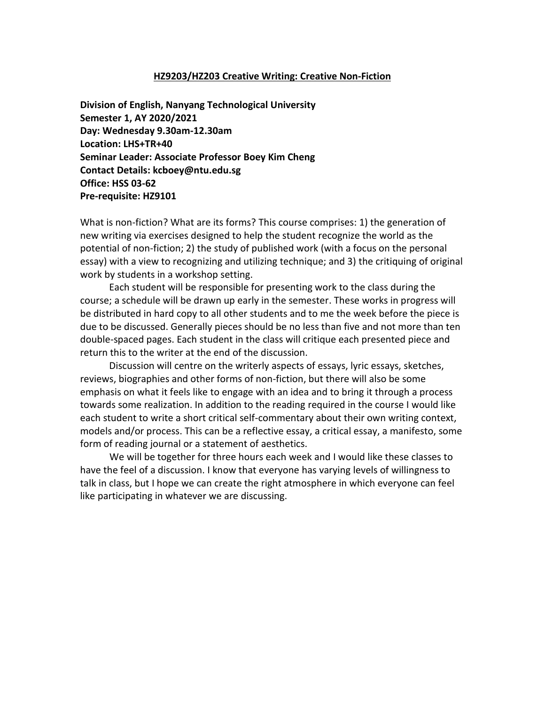#### **HZ9203/HZ203 Creative Writing: Creative Non-Fiction**

**Division of English, Nanyang Technological University Semester 1, AY 2020/2021 Day: Wednesday 9.30am-12.30am Location: LHS+TR+40 Seminar Leader: Associate Professor Boey Kim Cheng Contact Details: kcboey@ntu.edu.sg Office: HSS 03-62 Pre-requisite: HZ9101**

What is non-fiction? What are its forms? This course comprises: 1) the generation of new writing via exercises designed to help the student recognize the world as the potential of non-fiction; 2) the study of published work (with a focus on the personal essay) with a view to recognizing and utilizing technique; and 3) the critiquing of original work by students in a workshop setting.

Each student will be responsible for presenting work to the class during the course; a schedule will be drawn up early in the semester. These works in progress will be distributed in hard copy to all other students and to me the week before the piece is due to be discussed. Generally pieces should be no less than five and not more than ten double-spaced pages. Each student in the class will critique each presented piece and return this to the writer at the end of the discussion.

Discussion will centre on the writerly aspects of essays, lyric essays, sketches, reviews, biographies and other forms of non-fiction, but there will also be some emphasis on what it feels like to engage with an idea and to bring it through a process towards some realization. In addition to the reading required in the course I would like each student to write a short critical self-commentary about their own writing context, models and/or process. This can be a reflective essay, a critical essay, a manifesto, some form of reading journal or a statement of aesthetics.

We will be together for three hours each week and I would like these classes to have the feel of a discussion. I know that everyone has varying levels of willingness to talk in class, but I hope we can create the right atmosphere in which everyone can feel like participating in whatever we are discussing.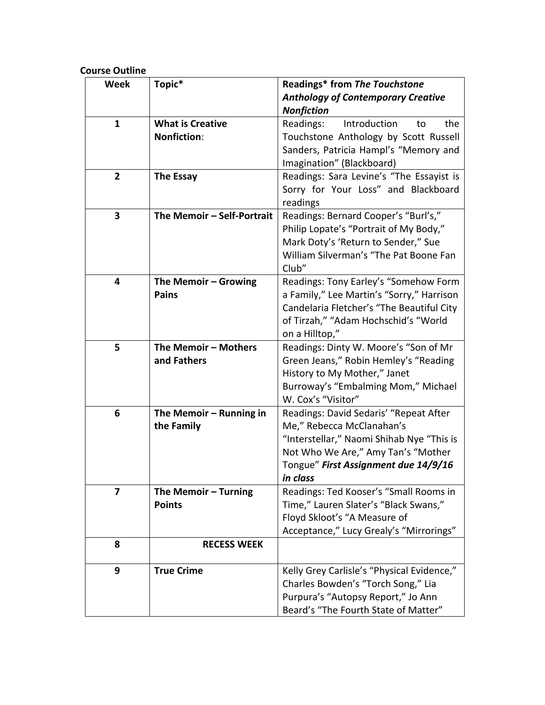# **Course Outline**

| <b>Week</b>    | Topic*                     | Readings* from The Touchstone              |
|----------------|----------------------------|--------------------------------------------|
|                |                            | <b>Anthology of Contemporary Creative</b>  |
|                |                            | <b>Nonfiction</b>                          |
| $\mathbf{1}$   | <b>What is Creative</b>    | Readings:<br>Introduction<br>the<br>to     |
|                | <b>Nonfiction:</b>         | Touchstone Anthology by Scott Russell      |
|                |                            | Sanders, Patricia Hampl's "Memory and      |
|                |                            | Imagination" (Blackboard)                  |
| $\overline{2}$ | <b>The Essay</b>           | Readings: Sara Levine's "The Essayist is   |
|                |                            | Sorry for Your Loss" and Blackboard        |
|                |                            | readings                                   |
| 3              | The Memoir - Self-Portrait | Readings: Bernard Cooper's "Burl's,"       |
|                |                            | Philip Lopate's "Portrait of My Body,"     |
|                |                            | Mark Doty's 'Return to Sender," Sue        |
|                |                            | William Silverman's "The Pat Boone Fan     |
|                |                            | Club"                                      |
| 4              | The Memoir - Growing       | Readings: Tony Earley's "Somehow Form      |
|                | <b>Pains</b>               | a Family," Lee Martin's "Sorry," Harrison  |
|                |                            | Candelaria Fletcher's "The Beautiful City  |
|                |                            | of Tirzah," "Adam Hochschid's "World       |
|                |                            | on a Hilltop,"                             |
| 5              | The Memoir - Mothers       | Readings: Dinty W. Moore's "Son of Mr      |
|                | and Fathers                | Green Jeans," Robin Hemley's "Reading      |
|                |                            | History to My Mother," Janet               |
|                |                            | Burroway's "Embalming Mom," Michael        |
|                |                            | W. Cox's "Visitor"                         |
| 6              | The Memoir - Running in    | Readings: David Sedaris' "Repeat After     |
|                | the Family                 | Me," Rebecca McClanahan's                  |
|                |                            | "Interstellar," Naomi Shihab Nye "This is  |
|                |                            | Not Who We Are," Amy Tan's "Mother         |
|                |                            | Tongue" First Assignment due 14/9/16       |
|                |                            | in class                                   |
| 7              | The Memoir - Turning       | Readings: Ted Kooser's "Small Rooms in     |
|                | <b>Points</b>              | Time," Lauren Slater's "Black Swans,"      |
|                |                            | Floyd Skloot's "A Measure of               |
|                |                            | Acceptance," Lucy Grealy's "Mirrorings"    |
| 8              | <b>RECESS WEEK</b>         |                                            |
| 9              | <b>True Crime</b>          | Kelly Grey Carlisle's "Physical Evidence," |
|                |                            | Charles Bowden's "Torch Song," Lia         |
|                |                            | Purpura's "Autopsy Report," Jo Ann         |
|                |                            | Beard's "The Fourth State of Matter"       |
|                |                            |                                            |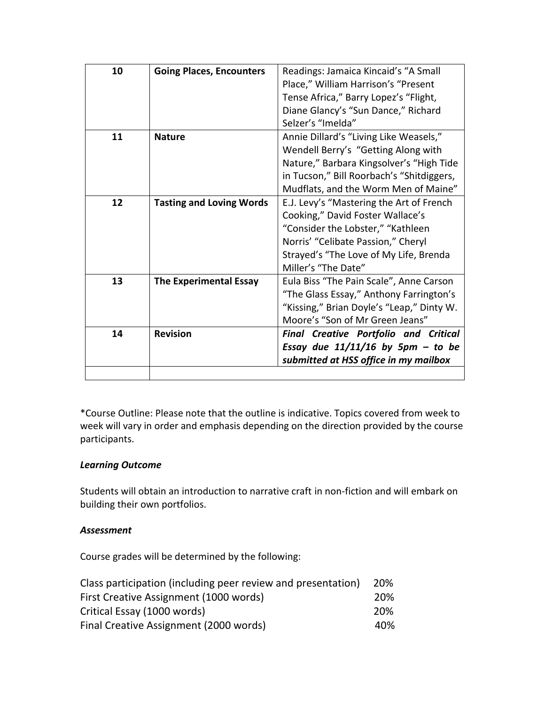| 10 | <b>Going Places, Encounters</b> | Readings: Jamaica Kincaid's "A Small         |
|----|---------------------------------|----------------------------------------------|
|    |                                 | Place," William Harrison's "Present          |
|    |                                 | Tense Africa," Barry Lopez's "Flight,        |
|    |                                 | Diane Glancy's "Sun Dance," Richard          |
|    |                                 | Selzer's "Imelda"                            |
| 11 | <b>Nature</b>                   | Annie Dillard's "Living Like Weasels,"       |
|    |                                 | Wendell Berry's "Getting Along with          |
|    |                                 | Nature," Barbara Kingsolver's "High Tide     |
|    |                                 | in Tucson," Bill Roorbach's "Shitdiggers,    |
|    |                                 | Mudflats, and the Worm Men of Maine"         |
| 12 | <b>Tasting and Loving Words</b> | E.J. Levy's "Mastering the Art of French     |
|    |                                 | Cooking," David Foster Wallace's             |
|    |                                 | "Consider the Lobster," "Kathleen            |
|    |                                 | Norris' "Celibate Passion," Cheryl           |
|    |                                 | Strayed's "The Love of My Life, Brenda       |
|    |                                 | Miller's "The Date"                          |
| 13 | <b>The Experimental Essay</b>   | Eula Biss "The Pain Scale", Anne Carson      |
|    |                                 | "The Glass Essay," Anthony Farrington's      |
|    |                                 | "Kissing," Brian Doyle's "Leap," Dinty W.    |
|    |                                 | Moore's "Son of Mr Green Jeans"              |
| 14 | <b>Revision</b>                 | <b>Final Creative Portfolio and Critical</b> |
|    |                                 | Essay due $11/11/16$ by 5pm - to be          |
|    |                                 | submitted at HSS office in my mailbox        |
|    |                                 |                                              |

\*Course Outline: Please note that the outline is indicative. Topics covered from week to week will vary in order and emphasis depending on the direction provided by the course participants.

# *Learning Outcome*

Students will obtain an introduction to narrative craft in non-fiction and will embark on building their own portfolios.

# *Assessment*

Course grades will be determined by the following:

| Class participation (including peer review and presentation) | 20% |
|--------------------------------------------------------------|-----|
| First Creative Assignment (1000 words)                       | 20% |
| Critical Essay (1000 words)                                  |     |
| Final Creative Assignment (2000 words)                       | 40% |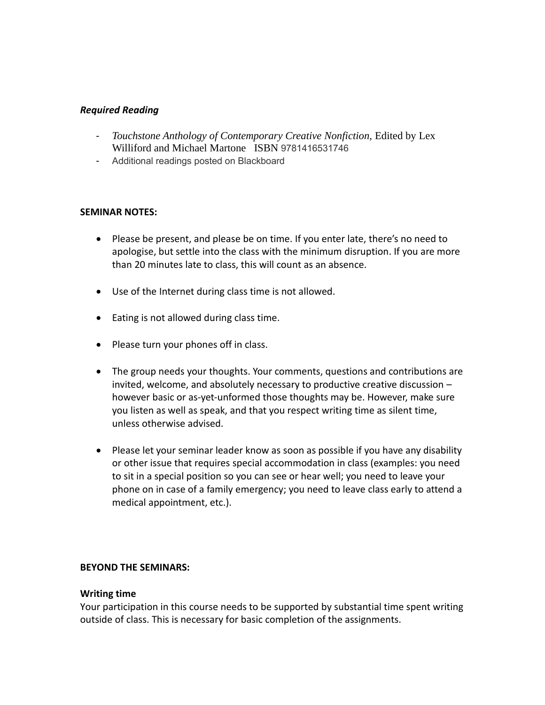### *Required Reading*

- *Touchstone Anthology of Contemporary Creative Nonfiction, Edited by Lex* Williford and Michael Martone ISBN 9781416531746
- Additional readings posted on Blackboard

#### **SEMINAR NOTES:**

- Please be present, and please be on time. If you enter late, there's no need to apologise, but settle into the class with the minimum disruption. If you are more than 20 minutes late to class, this will count as an absence.
- Use of the Internet during class time is not allowed.
- Eating is not allowed during class time.
- Please turn your phones off in class.
- The group needs your thoughts. Your comments, questions and contributions are invited, welcome, and absolutely necessary to productive creative discussion – however basic or as-yet-unformed those thoughts may be. However, make sure you listen as well as speak, and that you respect writing time as silent time, unless otherwise advised.
- Please let your seminar leader know as soon as possible if you have any disability or other issue that requires special accommodation in class (examples: you need to sit in a special position so you can see or hear well; you need to leave your phone on in case of a family emergency; you need to leave class early to attend a medical appointment, etc.).

#### **BEYOND THE SEMINARS:**

#### **Writing time**

Your participation in this course needs to be supported by substantial time spent writing outside of class. This is necessary for basic completion of the assignments.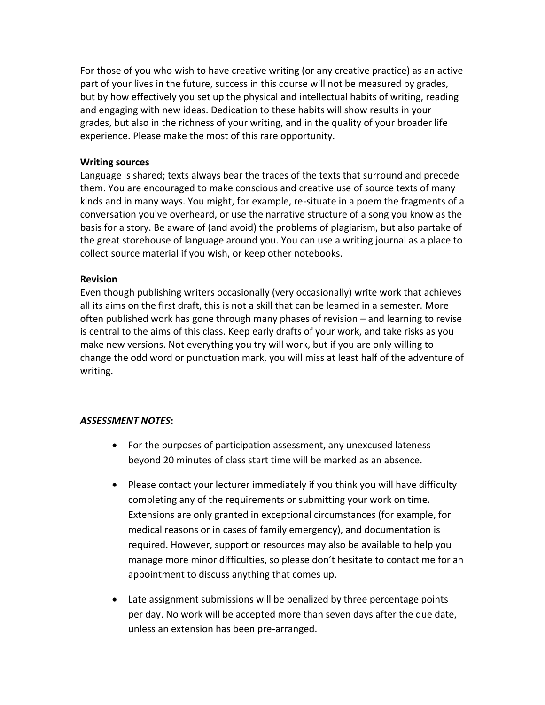For those of you who wish to have creative writing (or any creative practice) as an active part of your lives in the future, success in this course will not be measured by grades, but by how effectively you set up the physical and intellectual habits of writing, reading and engaging with new ideas. Dedication to these habits will show results in your grades, but also in the richness of your writing, and in the quality of your broader life experience. Please make the most of this rare opportunity.

#### **Writing sources**

Language is shared; texts always bear the traces of the texts that surround and precede them. You are encouraged to make conscious and creative use of source texts of many kinds and in many ways. You might, for example, re-situate in a poem the fragments of a conversation you've overheard, or use the narrative structure of a song you know as the basis for a story. Be aware of (and avoid) the problems of plagiarism, but also partake of the great storehouse of language around you. You can use a writing journal as a place to collect source material if you wish, or keep other notebooks.

#### **Revision**

Even though publishing writers occasionally (very occasionally) write work that achieves all its aims on the first draft, this is not a skill that can be learned in a semester. More often published work has gone through many phases of revision – and learning to revise is central to the aims of this class. Keep early drafts of your work, and take risks as you make new versions. Not everything you try will work, but if you are only willing to change the odd word or punctuation mark, you will miss at least half of the adventure of writing.

### *ASSESSMENT NOTES***:**

- For the purposes of participation assessment, any unexcused lateness beyond 20 minutes of class start time will be marked as an absence.
- Please contact your lecturer immediately if you think you will have difficulty completing any of the requirements or submitting your work on time. Extensions are only granted in exceptional circumstances (for example, for medical reasons or in cases of family emergency), and documentation is required. However, support or resources may also be available to help you manage more minor difficulties, so please don't hesitate to contact me for an appointment to discuss anything that comes up.
- Late assignment submissions will be penalized by three percentage points per day. No work will be accepted more than seven days after the due date, unless an extension has been pre-arranged.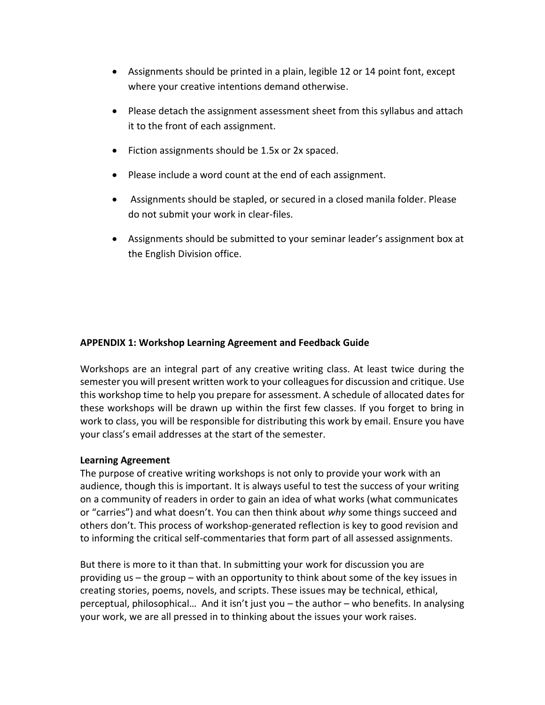- Assignments should be printed in a plain, legible 12 or 14 point font, except where your creative intentions demand otherwise.
- Please detach the assignment assessment sheet from this syllabus and attach it to the front of each assignment.
- Fiction assignments should be 1.5x or 2x spaced.
- Please include a word count at the end of each assignment.
- Assignments should be stapled, or secured in a closed manila folder. Please do not submit your work in clear-files.
- Assignments should be submitted to your seminar leader's assignment box at the English Division office.

### **APPENDIX 1: Workshop Learning Agreement and Feedback Guide**

Workshops are an integral part of any creative writing class. At least twice during the semester you will present written work to your colleagues for discussion and critique. Use this workshop time to help you prepare for assessment. A schedule of allocated dates for these workshops will be drawn up within the first few classes. If you forget to bring in work to class, you will be responsible for distributing this work by email. Ensure you have your class's email addresses at the start of the semester.

### **Learning Agreement**

The purpose of creative writing workshops is not only to provide your work with an audience, though this is important. It is always useful to test the success of your writing on a community of readers in order to gain an idea of what works (what communicates or "carries") and what doesn't. You can then think about *why* some things succeed and others don't. This process of workshop-generated reflection is key to good revision and to informing the critical self-commentaries that form part of all assessed assignments.

But there is more to it than that. In submitting your work for discussion you are providing us – the group – with an opportunity to think about some of the key issues in creating stories, poems, novels, and scripts. These issues may be technical, ethical, perceptual, philosophical… And it isn't just you – the author – who benefits. In analysing your work, we are all pressed in to thinking about the issues your work raises.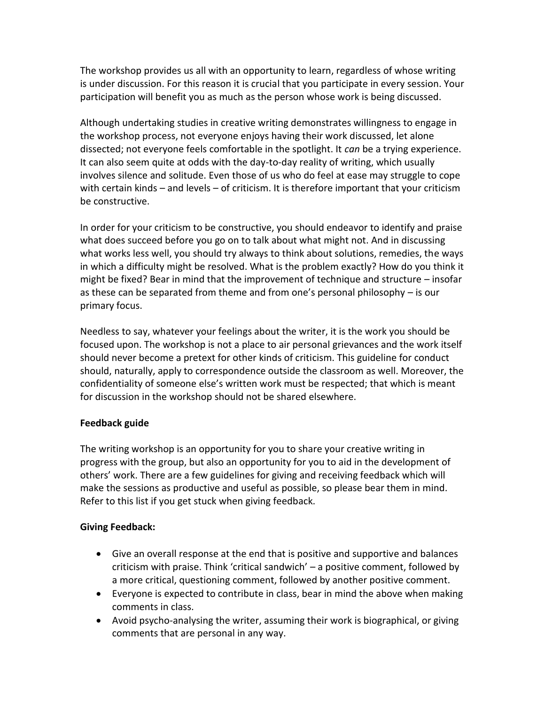The workshop provides us all with an opportunity to learn, regardless of whose writing is under discussion. For this reason it is crucial that you participate in every session. Your participation will benefit you as much as the person whose work is being discussed.

Although undertaking studies in creative writing demonstrates willingness to engage in the workshop process, not everyone enjoys having their work discussed, let alone dissected; not everyone feels comfortable in the spotlight. It *can* be a trying experience. It can also seem quite at odds with the day-to-day reality of writing, which usually involves silence and solitude. Even those of us who do feel at ease may struggle to cope with certain kinds – and levels – of criticism. It is therefore important that your criticism be constructive.

In order for your criticism to be constructive, you should endeavor to identify and praise what does succeed before you go on to talk about what might not. And in discussing what works less well, you should try always to think about solutions, remedies, the ways in which a difficulty might be resolved. What is the problem exactly? How do you think it might be fixed? Bear in mind that the improvement of technique and structure – insofar as these can be separated from theme and from one's personal philosophy – is our primary focus.

Needless to say, whatever your feelings about the writer, it is the work you should be focused upon. The workshop is not a place to air personal grievances and the work itself should never become a pretext for other kinds of criticism. This guideline for conduct should, naturally, apply to correspondence outside the classroom as well. Moreover, the confidentiality of someone else's written work must be respected; that which is meant for discussion in the workshop should not be shared elsewhere.

# **Feedback guide**

The writing workshop is an opportunity for you to share your creative writing in progress with the group, but also an opportunity for you to aid in the development of others' work. There are a few guidelines for giving and receiving feedback which will make the sessions as productive and useful as possible, so please bear them in mind. Refer to this list if you get stuck when giving feedback.

# **Giving Feedback:**

- Give an overall response at the end that is positive and supportive and balances criticism with praise. Think 'critical sandwich' – a positive comment, followed by a more critical, questioning comment, followed by another positive comment.
- Everyone is expected to contribute in class, bear in mind the above when making comments in class.
- Avoid psycho-analysing the writer, assuming their work is biographical, or giving comments that are personal in any way.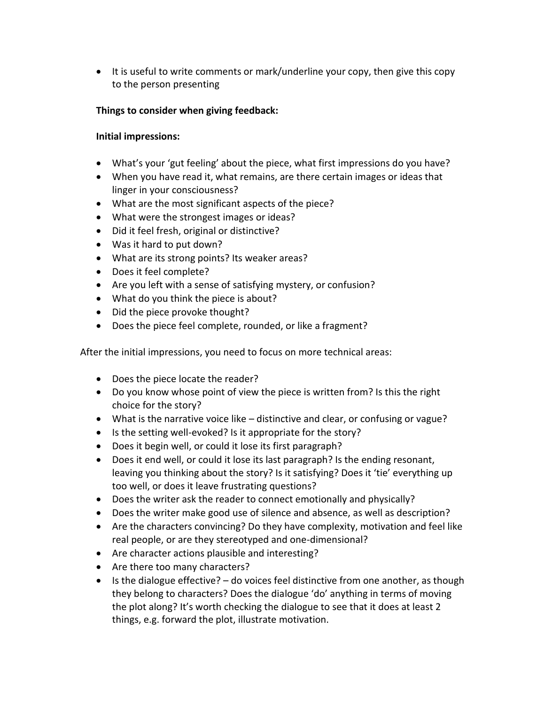• It is useful to write comments or mark/underline your copy, then give this copy to the person presenting

# **Things to consider when giving feedback:**

# **Initial impressions:**

- What's your 'gut feeling' about the piece, what first impressions do you have?
- When you have read it, what remains, are there certain images or ideas that linger in your consciousness?
- What are the most significant aspects of the piece?
- What were the strongest images or ideas?
- Did it feel fresh, original or distinctive?
- Was it hard to put down?
- What are its strong points? Its weaker areas?
- Does it feel complete?
- Are you left with a sense of satisfying mystery, or confusion?
- What do you think the piece is about?
- Did the piece provoke thought?
- Does the piece feel complete, rounded, or like a fragment?

After the initial impressions, you need to focus on more technical areas:

- Does the piece locate the reader?
- Do you know whose point of view the piece is written from? Is this the right choice for the story?
- What is the narrative voice like distinctive and clear, or confusing or vague?
- Is the setting well-evoked? Is it appropriate for the story?
- Does it begin well, or could it lose its first paragraph?
- Does it end well, or could it lose its last paragraph? Is the ending resonant, leaving you thinking about the story? Is it satisfying? Does it 'tie' everything up too well, or does it leave frustrating questions?
- Does the writer ask the reader to connect emotionally and physically?
- Does the writer make good use of silence and absence, as well as description?
- Are the characters convincing? Do they have complexity, motivation and feel like real people, or are they stereotyped and one-dimensional?
- Are character actions plausible and interesting?
- Are there too many characters?
- $\bullet$  Is the dialogue effective?  $-$  do voices feel distinctive from one another, as though they belong to characters? Does the dialogue 'do' anything in terms of moving the plot along? It's worth checking the dialogue to see that it does at least 2 things, e.g. forward the plot, illustrate motivation.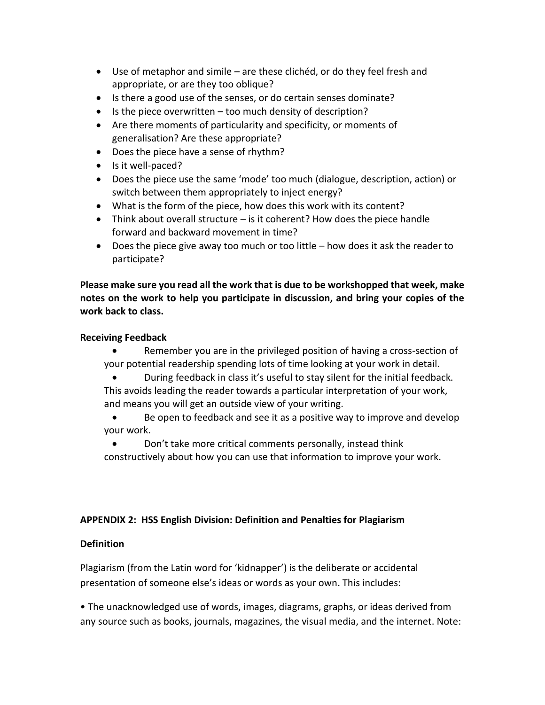- Use of metaphor and simile are these clichéd, or do they feel fresh and appropriate, or are they too oblique?
- Is there a good use of the senses, or do certain senses dominate?
- Is the piece overwritten too much density of description?
- Are there moments of particularity and specificity, or moments of generalisation? Are these appropriate?
- Does the piece have a sense of rhythm?
- Is it well-paced?
- Does the piece use the same 'mode' too much (dialogue, description, action) or switch between them appropriately to inject energy?
- What is the form of the piece, how does this work with its content?
- Think about overall structure is it coherent? How does the piece handle forward and backward movement in time?
- Does the piece give away too much or too little how does it ask the reader to participate?

**Please make sure you read all the work that is due to be workshopped that week, make notes on the work to help you participate in discussion, and bring your copies of the work back to class.** 

### **Receiving Feedback**

- Remember you are in the privileged position of having a cross-section of your potential readership spending lots of time looking at your work in detail.
- During feedback in class it's useful to stay silent for the initial feedback. This avoids leading the reader towards a particular interpretation of your work, and means you will get an outside view of your writing.
- Be open to feedback and see it as a positive way to improve and develop your work.
- Don't take more critical comments personally, instead think constructively about how you can use that information to improve your work.

# **APPENDIX 2: HSS English Division: Definition and Penalties for Plagiarism**

# **Definition**

Plagiarism (from the Latin word for 'kidnapper') is the deliberate or accidental presentation of someone else's ideas or words as your own. This includes:

• The unacknowledged use of words, images, diagrams, graphs, or ideas derived from any source such as books, journals, magazines, the visual media, and the internet. Note: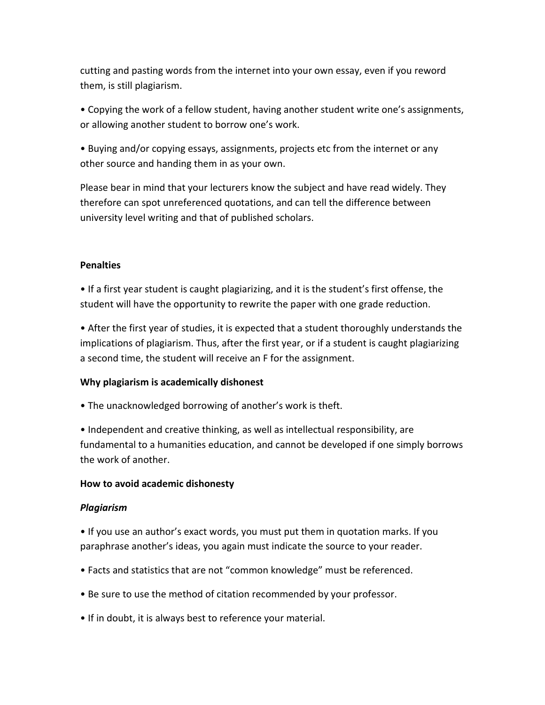cutting and pasting words from the internet into your own essay, even if you reword them, is still plagiarism.

• Copying the work of a fellow student, having another student write one's assignments, or allowing another student to borrow one's work.

• Buying and/or copying essays, assignments, projects etc from the internet or any other source and handing them in as your own.

Please bear in mind that your lecturers know the subject and have read widely. They therefore can spot unreferenced quotations, and can tell the difference between university level writing and that of published scholars.

### **Penalties**

• If a first year student is caught plagiarizing, and it is the student's first offense, the student will have the opportunity to rewrite the paper with one grade reduction.

• After the first year of studies, it is expected that a student thoroughly understands the implications of plagiarism. Thus, after the first year, or if a student is caught plagiarizing a second time, the student will receive an F for the assignment.

### **Why plagiarism is academically dishonest**

• The unacknowledged borrowing of another's work is theft.

• Independent and creative thinking, as well as intellectual responsibility, are fundamental to a humanities education, and cannot be developed if one simply borrows the work of another.

### **How to avoid academic dishonesty**

### *Plagiarism*

• If you use an author's exact words, you must put them in quotation marks. If you paraphrase another's ideas, you again must indicate the source to your reader.

- Facts and statistics that are not "common knowledge" must be referenced.
- Be sure to use the method of citation recommended by your professor.
- If in doubt, it is always best to reference your material.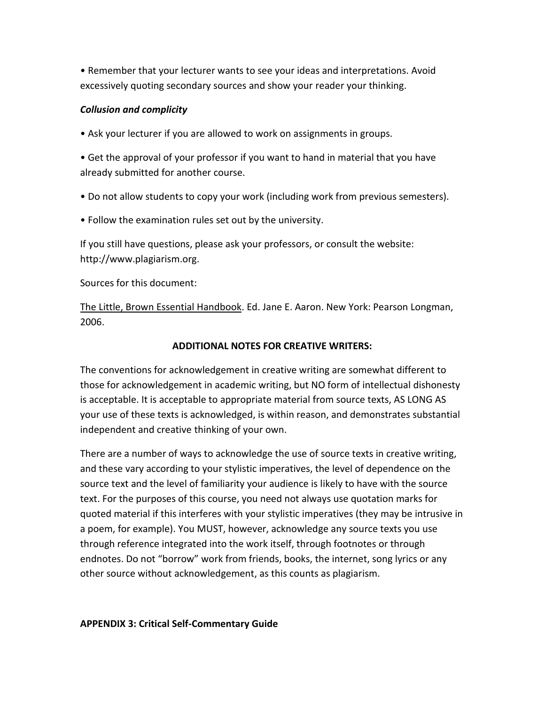• Remember that your lecturer wants to see your ideas and interpretations. Avoid excessively quoting secondary sources and show your reader your thinking.

### *Collusion and complicity*

• Ask your lecturer if you are allowed to work on assignments in groups.

• Get the approval of your professor if you want to hand in material that you have already submitted for another course.

- Do not allow students to copy your work (including work from previous semesters).
- Follow the examination rules set out by the university.

If you still have questions, please ask your professors, or consult the website: http://www.plagiarism.org.

Sources for this document:

The Little, Brown Essential Handbook. Ed. Jane E. Aaron. New York: Pearson Longman, 2006.

### **ADDITIONAL NOTES FOR CREATIVE WRITERS:**

The conventions for acknowledgement in creative writing are somewhat different to those for acknowledgement in academic writing, but NO form of intellectual dishonesty is acceptable. It is acceptable to appropriate material from source texts, AS LONG AS your use of these texts is acknowledged, is within reason, and demonstrates substantial independent and creative thinking of your own.

There are a number of ways to acknowledge the use of source texts in creative writing, and these vary according to your stylistic imperatives, the level of dependence on the source text and the level of familiarity your audience is likely to have with the source text. For the purposes of this course, you need not always use quotation marks for quoted material if this interferes with your stylistic imperatives (they may be intrusive in a poem, for example). You MUST, however, acknowledge any source texts you use through reference integrated into the work itself, through footnotes or through endnotes. Do not "borrow" work from friends, books, the internet, song lyrics or any other source without acknowledgement, as this counts as plagiarism.

### **APPENDIX 3: Critical Self-Commentary Guide**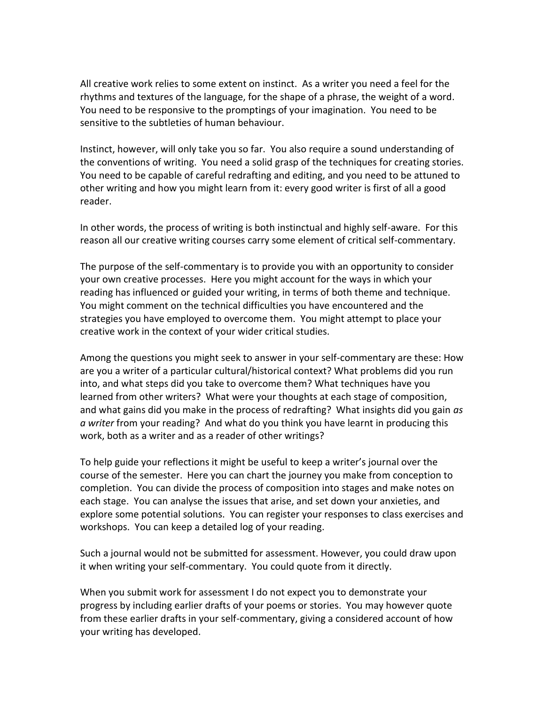All creative work relies to some extent on instinct. As a writer you need a feel for the rhythms and textures of the language, for the shape of a phrase, the weight of a word. You need to be responsive to the promptings of your imagination. You need to be sensitive to the subtleties of human behaviour.

Instinct, however, will only take you so far. You also require a sound understanding of the conventions of writing. You need a solid grasp of the techniques for creating stories. You need to be capable of careful redrafting and editing, and you need to be attuned to other writing and how you might learn from it: every good writer is first of all a good reader.

In other words, the process of writing is both instinctual and highly self-aware. For this reason all our creative writing courses carry some element of critical self-commentary.

The purpose of the self-commentary is to provide you with an opportunity to consider your own creative processes. Here you might account for the ways in which your reading has influenced or guided your writing, in terms of both theme and technique. You might comment on the technical difficulties you have encountered and the strategies you have employed to overcome them. You might attempt to place your creative work in the context of your wider critical studies.

Among the questions you might seek to answer in your self-commentary are these: How are you a writer of a particular cultural/historical context? What problems did you run into, and what steps did you take to overcome them? What techniques have you learned from other writers? What were your thoughts at each stage of composition, and what gains did you make in the process of redrafting? What insights did you gain *as a writer* from your reading? And what do you think you have learnt in producing this work, both as a writer and as a reader of other writings?

To help guide your reflections it might be useful to keep a writer's journal over the course of the semester. Here you can chart the journey you make from conception to completion. You can divide the process of composition into stages and make notes on each stage. You can analyse the issues that arise, and set down your anxieties, and explore some potential solutions. You can register your responses to class exercises and workshops. You can keep a detailed log of your reading.

Such a journal would not be submitted for assessment. However, you could draw upon it when writing your self-commentary. You could quote from it directly.

When you submit work for assessment I do not expect you to demonstrate your progress by including earlier drafts of your poems or stories. You may however quote from these earlier drafts in your self-commentary, giving a considered account of how your writing has developed.